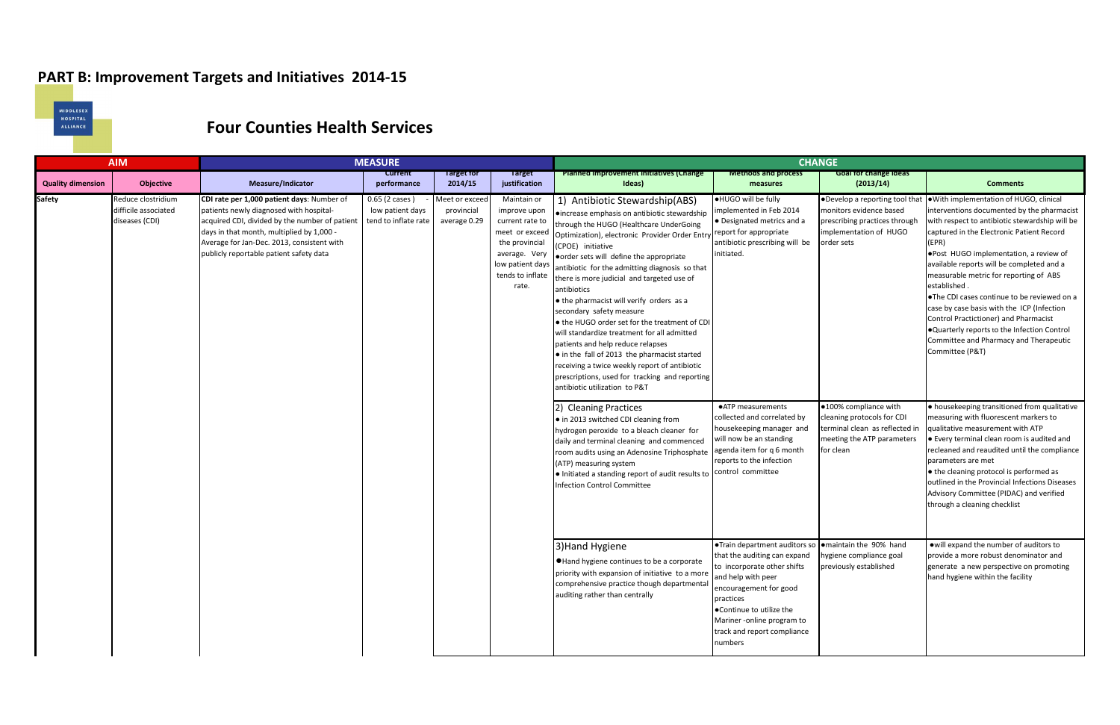## **PART B: Improvement Targets and Initiatives 2014-15**



## **Four Counties Health Services**

| <b>AIM</b>               |                                                              | <b>MEASURE</b>                                                                                                                                                                                                                                                                |                                                            |                                             |                                                                                                                                                      | <b>CHANGE</b>                                                                                                                                                                                                                                                                                                                                                                                                                                                                                                                                                                                                                                                                                                                                              |                                                                                                                                                                                                                                                                                       |                                                                                                                                     |                                                                                                                                                                                                                                                                                                                                                                                                                                                                                                                                                                                                     |  |
|--------------------------|--------------------------------------------------------------|-------------------------------------------------------------------------------------------------------------------------------------------------------------------------------------------------------------------------------------------------------------------------------|------------------------------------------------------------|---------------------------------------------|------------------------------------------------------------------------------------------------------------------------------------------------------|------------------------------------------------------------------------------------------------------------------------------------------------------------------------------------------------------------------------------------------------------------------------------------------------------------------------------------------------------------------------------------------------------------------------------------------------------------------------------------------------------------------------------------------------------------------------------------------------------------------------------------------------------------------------------------------------------------------------------------------------------------|---------------------------------------------------------------------------------------------------------------------------------------------------------------------------------------------------------------------------------------------------------------------------------------|-------------------------------------------------------------------------------------------------------------------------------------|-----------------------------------------------------------------------------------------------------------------------------------------------------------------------------------------------------------------------------------------------------------------------------------------------------------------------------------------------------------------------------------------------------------------------------------------------------------------------------------------------------------------------------------------------------------------------------------------------------|--|
| <b>Quality dimension</b> | Objective                                                    | Measure/Indicator                                                                                                                                                                                                                                                             | <b>Current</b><br>performance                              | Target for<br>2014/15                       | <b>Target</b><br>justification                                                                                                                       | Planned improvement initiatives (Change<br>Ideas)                                                                                                                                                                                                                                                                                                                                                                                                                                                                                                                                                                                                                                                                                                          | <b>Methods and process</b><br>measures                                                                                                                                                                                                                                                | <b>Goal for change ideas</b><br>(2013/14)                                                                                           | <b>Comments</b>                                                                                                                                                                                                                                                                                                                                                                                                                                                                                                                                                                                     |  |
| <b>Safety</b>            | Reduce clostridium<br>difficile associated<br>diseases (CDI) | CDI rate per 1,000 patient days: Number of<br>patients newly diagnosed with hospital-<br>acquired CDI, divided by the number of patient<br>days in that month, multiplied by 1,000 -<br>Average for Jan-Dec. 2013, consistent with<br>publicly reportable patient safety data | 0.65 (2 cases)<br>low patient days<br>tend to inflate rate | Meet or excee<br>provincial<br>average 0.29 | Maintain or<br>improve upon<br>current rate to<br>meet or exceed<br>the provincial<br>average. Very<br>low patient days<br>tends to inflate<br>rate. | 1) Antibiotic Stewardship(ABS)<br>·increase emphasis on antibiotic stewardship<br>through the HUGO (Healthcare UnderGoing<br>Optimization), electronic Provider Order Entry<br>(CPOE) initiative<br>order sets will define the appropriate<br>antibiotic for the admitting diagnosis so that<br>there is more judicial and targeted use of<br>antibiotics<br>• the pharmacist will verify orders as a<br>secondary safety measure<br>• the HUGO order set for the treatment of CDI<br>will standardize treatment for all admitted<br>patients and help reduce relapses<br>• in the fall of 2013 the pharmacist started<br>receiving a twice weekly report of antibiotic<br>prescriptions, used for tracking and reporting<br>antibiotic utilization to P&T | . HUGO will be fully<br>implemented in Feb 2014<br>• Designated metrics and a<br>report for appropriate<br>antibiotic prescribing will be<br>initiated.                                                                                                                               | . Develop a reporting tool that<br>monitors evidence based<br>prescribing practices through<br>implementation of HUGO<br>order sets | ● With implementation of HUGO, clinical<br>interventions documented by the pharmacist<br>with respect to antibiotic stewardship will be<br>captured in the Electronic Patient Record<br>(EPR)<br>. Post HUGO implementation, a review of<br>available reports will be completed and a<br>measurable metric for reporting of ABS<br>established.<br>. The CDI cases continue to be reviewed on a<br>case by case basis with the ICP (Infection<br>Control Practictioner) and Pharmacist<br>. Quarterly reports to the Infection Control<br>Committee and Pharmacy and Therapeutic<br>Committee (P&T) |  |
|                          |                                                              |                                                                                                                                                                                                                                                                               |                                                            |                                             |                                                                                                                                                      | 2) Cleaning Practices<br>• in 2013 switched CDI cleaning from<br>hydrogen peroxide to a bleach cleaner for<br>daily and terminal cleaning and commenced<br>room audits using an Adenosine Triphosphate<br>(ATP) measuring system<br>• Initiated a standing report of audit results to<br><b>Infection Control Committee</b>                                                                                                                                                                                                                                                                                                                                                                                                                                | • ATP measurements<br>collected and correlated by<br>housekeeping manager and<br>will now be an standing<br>agenda item for q 6 month<br>reports to the infection<br>control committee                                                                                                | ●100% compliance with<br>cleaning protocols for CDI<br>terminal clean as reflected in<br>meeting the ATP parameters<br>for clean    | . housekeeping transitioned from qualitative<br>measuring with fluorescent markers to<br>qualitative measurement with ATP<br>• Every terminal clean room is audited and<br>recleaned and reaudited until the compliance<br>parameters are met<br>• the cleaning protocol is performed as<br>outlined in the Provincial Infections Diseases<br>Advisory Committee (PIDAC) and verified<br>through a cleaning checklist                                                                                                                                                                               |  |
|                          |                                                              |                                                                                                                                                                                                                                                                               |                                                            |                                             |                                                                                                                                                      | 3) Hand Hygiene<br>• Hand hygiene continues to be a corporate<br>priority with expansion of initiative to a more<br>comprehensive practice though departmental<br>auditing rather than centrally                                                                                                                                                                                                                                                                                                                                                                                                                                                                                                                                                           | ●Train department auditors so  ●maintain the 90% hand<br>that the auditing can expand<br>to incorporate other shifts<br>and help with peer<br>encouragement for good<br>practices<br>.Continue to utilize the<br>Mariner -online program to<br>track and report compliance<br>numbers | hygiene compliance goal<br>previously established                                                                                   | owill expand the number of auditors to<br>provide a more robust denominator and<br>generate a new perspective on promoting<br>hand hygiene within the facility                                                                                                                                                                                                                                                                                                                                                                                                                                      |  |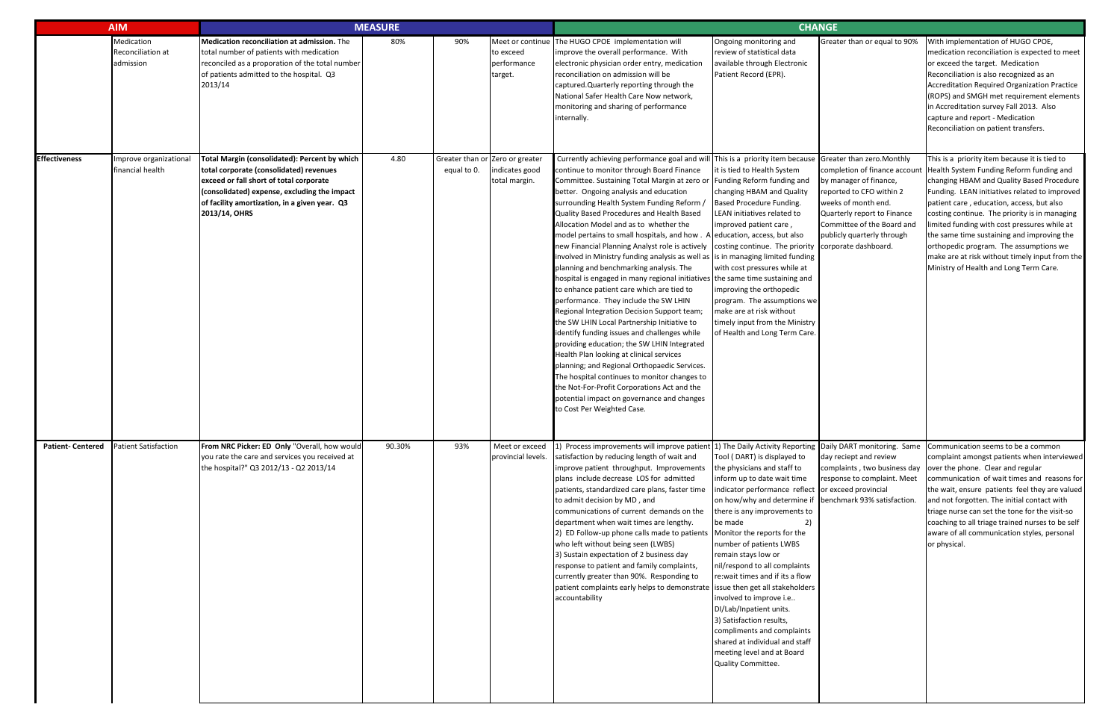|                         | <b>AIM</b>                                   | <b>MEASURE</b>                                                                                                                                                                                                                                        |        |             |                                                                    | <b>CHANGE</b>                                                                                                                                                                                                                                                                                                                                                                                                                                                                                                                                                                                                                                                                                                                                                                                                                                                                                                                                                                                                                                                                                                                                                                                           |                                                                                                                                                                                                                                                                                                                                                                                                                                                                                                                                                                                                                                                            |                                                                                                                                                                                                       |                                                                                                                                                                                                                                                                                                                                                                                                                                                                                                                           |  |
|-------------------------|----------------------------------------------|-------------------------------------------------------------------------------------------------------------------------------------------------------------------------------------------------------------------------------------------------------|--------|-------------|--------------------------------------------------------------------|---------------------------------------------------------------------------------------------------------------------------------------------------------------------------------------------------------------------------------------------------------------------------------------------------------------------------------------------------------------------------------------------------------------------------------------------------------------------------------------------------------------------------------------------------------------------------------------------------------------------------------------------------------------------------------------------------------------------------------------------------------------------------------------------------------------------------------------------------------------------------------------------------------------------------------------------------------------------------------------------------------------------------------------------------------------------------------------------------------------------------------------------------------------------------------------------------------|------------------------------------------------------------------------------------------------------------------------------------------------------------------------------------------------------------------------------------------------------------------------------------------------------------------------------------------------------------------------------------------------------------------------------------------------------------------------------------------------------------------------------------------------------------------------------------------------------------------------------------------------------------|-------------------------------------------------------------------------------------------------------------------------------------------------------------------------------------------------------|---------------------------------------------------------------------------------------------------------------------------------------------------------------------------------------------------------------------------------------------------------------------------------------------------------------------------------------------------------------------------------------------------------------------------------------------------------------------------------------------------------------------------|--|
|                         | Medication<br>Reconciliation at<br>admission | Medication reconciliation at admission. The<br>total number of patients with medication<br>reconciled as a proporation of the total number<br>of patients admitted to the hospital. Q3<br>2013/14                                                     | 80%    | 90%         | to exceed<br>performance<br>target.                                | Meet or continue The HUGO CPOE implementation will<br>improve the overall performance. With<br>electronic physician order entry, medication<br>reconciliation on admission will be<br>captured. Quarterly reporting through the<br>National Safer Health Care Now network,<br>monitoring and sharing of performance<br>internally.                                                                                                                                                                                                                                                                                                                                                                                                                                                                                                                                                                                                                                                                                                                                                                                                                                                                      | Ongoing monitoring and<br>review of statistical data<br>available through Electronic<br>Patient Record (EPR).                                                                                                                                                                                                                                                                                                                                                                                                                                                                                                                                              | Greater than or equal to 90%                                                                                                                                                                          | With implementation of HUGO CPOE,<br>medication reconciliation is expected to meet<br>or exceed the target. Medication<br>Reconciliation is also recognized as an<br>Accreditation Required Organization Practice<br>(ROPS) and SMGH met requirement elements<br>in Accreditation survey Fall 2013. Also<br>capture and report - Medication<br>Reconciliation on patient transfers.                                                                                                                                       |  |
| <b>Effectiveness</b>    | Improve organizational<br>financial health   | Total Margin (consolidated): Percent by which<br>total corporate (consolidated) revenues<br>exceed or fall short of total corporate<br>(consolidated) expense, excluding the impact<br>of facility amortization, in a given year. Q3<br>2013/14, OHRS | 4.80   | equal to 0. | Greater than or Zero or greater<br>indicates good<br>total margin. | Currently achieving performance goal and will This is a priority item because Greater than zero. Monthly<br>continue to monitor through Board Finance<br>Committee. Sustaining Total Margin at zero or<br>better. Ongoing analysis and education<br>surrounding Health System Funding Reform /<br>Quality Based Procedures and Health Based<br>Allocation Model and as to whether the<br>model pertains to small hospitals, and how . A<br>new Financial Planning Analyst role is actively<br>involved in Ministry funding analysis as well as<br>planning and benchmarking analysis. The<br>hospital is engaged in many regional initiatives<br>to enhance patient care which are tied to<br>performance. They include the SW LHIN<br>Regional Integration Decision Support team;<br>the SW LHIN Local Partnership Initiative to<br>identify funding issues and challenges while<br>providing education; the SW LHIN Integrated<br>Health Plan looking at clinical services<br>planning; and Regional Orthopaedic Services.<br>The hospital continues to monitor changes to<br>the Not-For-Profit Corporations Act and the<br>potential impact on governance and changes<br>to Cost Per Weighted Case. | it is tied to Health System<br>Funding Reform funding and<br>changing HBAM and Quality<br>Based Procedure Funding.<br>LEAN initiatives related to<br>improved patient care,<br>education, access, but also<br>costing continue. The priority corporate dashboard.<br>is in managing limited funding<br>with cost pressures while at<br>the same time sustaining and<br>improving the orthopedic<br>program. The assumptions we<br>make are at risk without<br>timely input from the Ministry<br>of Health and Long Term Care.                                                                                                                              | completion of finance account<br>by manager of finance,<br>reported to CFO within 2<br>weeks of month end.<br>Quarterly report to Finance<br>Committee of the Board and<br>publicly quarterly through | This is a priority item because it is tied to<br>Health System Funding Reform funding and<br>changing HBAM and Quality Based Procedure<br>Funding. LEAN initiatives related to improved<br>patient care, education, access, but also<br>costing continue. The priority is in managing<br>limited funding with cost pressures while at<br>the same time sustaining and improving the<br>orthopedic program. The assumptions we<br>make are at risk without timely input from the<br>Ministry of Health and Long Term Care. |  |
| <b>Patient-Centered</b> | <b>Patient Satisfaction</b>                  | From NRC Picker: ED Only "Overall, how would<br>you rate the care and services you received at<br>the hospital?" Q3 2012/13 - Q2 2013/14                                                                                                              | 90.30% | 93%         | Meet or exceed<br>provincial levels.                               | 1) Process improvements will improve patient 1) The Daily Activity Reporting Daily DART monitoring. Same Communication seems to be a common<br>satisfaction by reducing length of wait and<br>improve patient throughput. Improvements<br>plans include decrease LOS for admitted<br>patients, standardized care plans, faster time<br>to admit decision by MD, and<br>communications of current demands on the<br>department when wait times are lengthy.<br>2) ED Follow-up phone calls made to patients<br>who left without being seen (LWBS)<br>3) Sustain expectation of 2 business day<br>response to patient and family complaints,<br>currently greater than 90%. Responding to<br>patient complaints early helps to demonstrate<br>accountability                                                                                                                                                                                                                                                                                                                                                                                                                                              | Tool (DART) is displayed to<br>the physicians and staff to<br>inform up to date wait time<br>indicator performance reflect or exceed provincial<br>on how/why and determine if benchmark 93% satisfaction.<br>there is any improvements to<br>2)<br>be made<br>Monitor the reports for the<br>number of patients LWBS<br>remain stays low or<br>nil/respond to all complaints<br>re: wait times and if its a flow<br>issue then get all stakeholders<br>involved to improve i.e<br>DI/Lab/Inpatient units.<br>3) Satisfaction results,<br>compliments and complaints<br>shared at individual and staff<br>meeting level and at Board<br>Quality Committee. | day reciept and review<br>complaints, two business day<br>response to complaint. Meet                                                                                                                 | complaint amongst patients when interviewed<br>over the phone. Clear and regular<br>communication of wait times and reasons for<br>the wait, ensure patients feel they are valued<br>and not forgotten. The initial contact with<br>triage nurse can set the tone for the visit-so<br>coaching to all triage trained nurses to be self<br>aware of all communication styles, personal<br>or physical.                                                                                                                     |  |